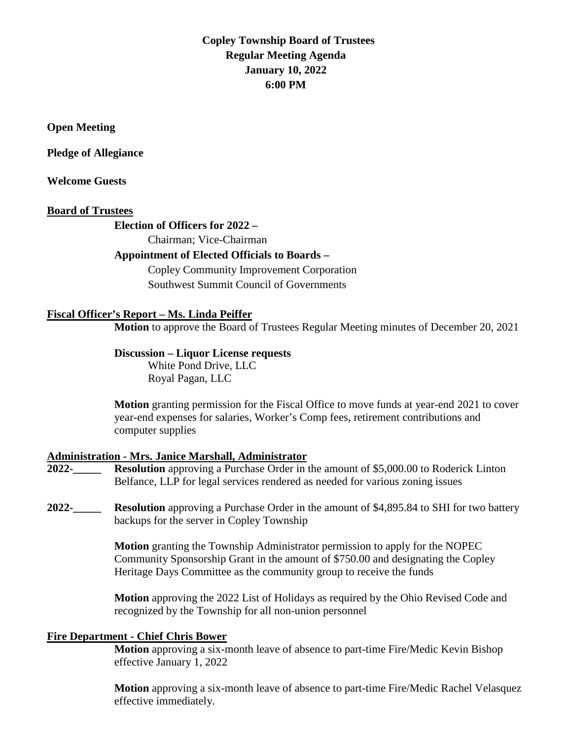# **Copley Township Board of Trustees Regular Meeting Agenda January 10, 2022 6:00 PM**

#### **Open Meeting**

#### **Pledge of Allegiance**

#### **Welcome Guests**

#### **Board of Trustees**

### **Election of Officers for 2022 –**

Chairman; Vice-Chairman

## **Appointment of Elected Officials to Boards –**

Copley Community Improvement Corporation Southwest Summit Council of Governments

### **Fiscal Officer's Report – Ms. Linda Peiffer**

**Motion** to approve the Board of Trustees Regular Meeting minutes of December 20, 2021

## **Discussion – Liquor License requests**

White Pond Drive, LLC Royal Pagan, LLC

**Motion** granting permission for the Fiscal Office to move funds at year-end 2021 to cover year-end expenses for salaries, Worker's Comp fees, retirement contributions and computer supplies

### **Administration - Mrs. Janice Marshall, Administrator**

- **2022-\_\_\_\_\_ Resolution** approving a Purchase Order in the amount of \$5,000.00 to Roderick Linton Belfance, LLP for legal services rendered as needed for various zoning issues
- **2022-\_\_\_\_\_ Resolution** approving a Purchase Order in the amount of \$4,895.84 to SHI for two battery backups for the server in Copley Township

**Motion** granting the Township Administrator permission to apply for the NOPEC Community Sponsorship Grant in the amount of \$750.00 and designating the Copley Heritage Days Committee as the community group to receive the funds

**Motion** approving the 2022 List of Holidays as required by the Ohio Revised Code and recognized by the Township for all non-union personnel

#### **Fire Department - Chief Chris Bower**

**Motion** approving a six-month leave of absence to part-time Fire/Medic Kevin Bishop effective January 1, 2022

**Motion** approving a six-month leave of absence to part-time Fire/Medic Rachel Velasquez effective immediately.